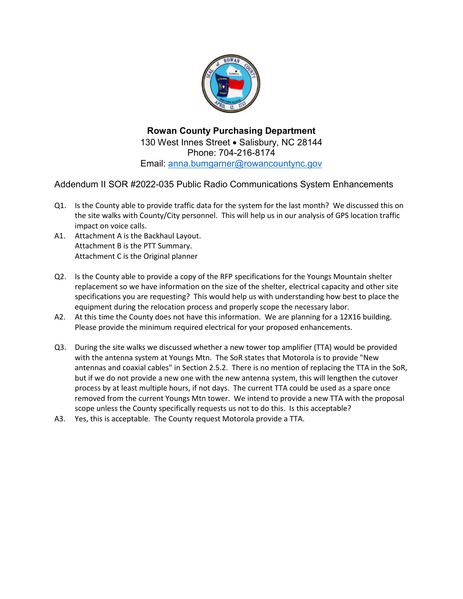

**Rowan County Purchasing Department** 130 West Innes Street • Salisbury, NC 28144 Phone: 704-216-8174 Email: [anna.bumgarner@rowancountync.gov](mailto:anna.bumgarner@rowancountync.gov)

Addendum II SOR #2022-035 Public Radio Communications System Enhancements

- Q1. Is the County able to provide traffic data for the system for the last month? We discussed this on the site walks with County/City personnel. This will help us in our analysis of GPS location traffic impact on voice calls.
- A1. Attachment A is the Backhaul Layout. Attachment B is the PTT Summary. Attachment C is the Original planner
- Q2. Is the County able to provide a copy of the RFP specifications for the Youngs Mountain shelter replacement so we have information on the size of the shelter, electrical capacity and other site specifications you are requesting? This would help us with understanding how best to place the equipment during the relocation process and properly scope the necessary labor.
- A2. At this time the County does not have this information. We are planning for a 12X16 building. Please provide the minimum required electrical for your proposed enhancements.
- Q3. During the site walks we discussed whether a new tower top amplifier (TTA) would be provided with the antenna system at Youngs Mtn. The SoR states that Motorola is to provide "New antennas and coaxial cables" in Section 2.5.2. There is no mention of replacing the TTA in the SoR, but if we do not provide a new one with the new antenna system, this will lengthen the cutover process by at least multiple hours, if not days. The current TTA could be used as a spare once removed from the current Youngs Mtn tower. We intend to provide a new TTA with the proposal scope unless the County specifically requests us not to do this. Is this acceptable?
- A3. Yes, this is acceptable. The County request Motorola provide a TTA.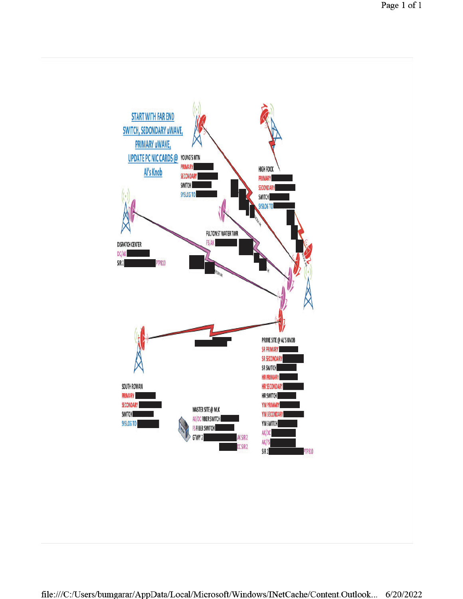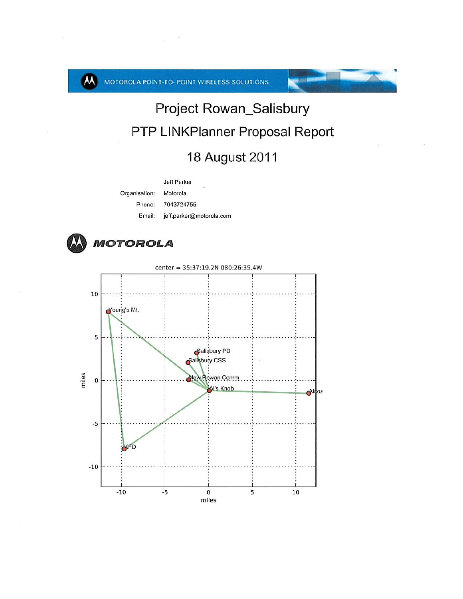$\boldsymbol{\mathsf{M}}$ 

MOTOROLA POINT-TO- POINT WIRELESS SOLUTIONS

## Project Rowan\_Salisbury PTP LINKPlanner Proposal Report

## 18 August 2011

Jeff Parker Organisation: Motorola Phone: 7043724755 Email: jeff.parker@motorola.com

MOTOROLA



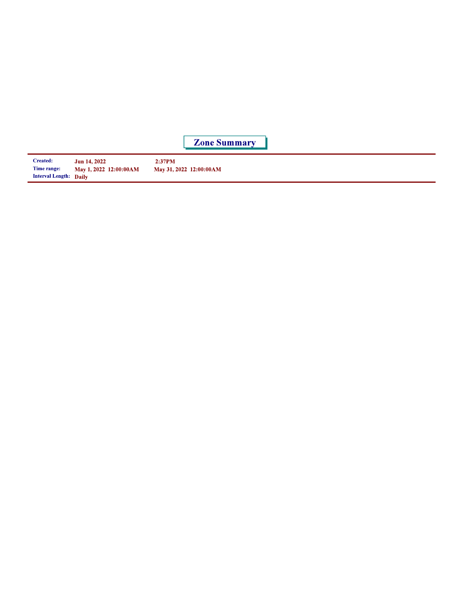**Zone Summary** 

| <b>Created:</b>        | <b>Jun 14, 2022</b>    | 2:37PM                  |
|------------------------|------------------------|-------------------------|
| Time range:            | May 1, 2022 12:00:00AM | May 31, 2022 12:00:00AM |
| Interval Length: Daily |                        |                         |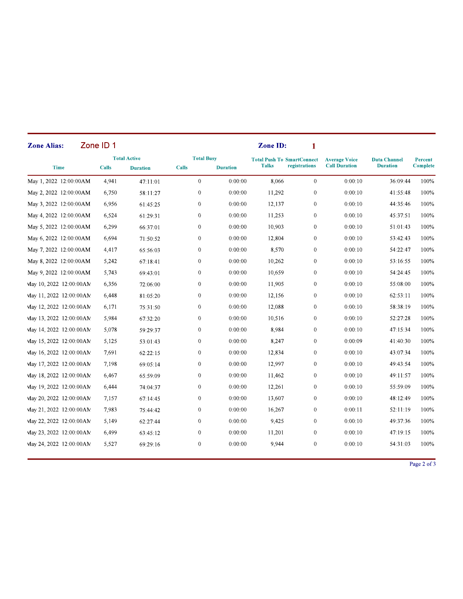| <b>Zone Alias:</b>       | Zone <b>ID</b> 1 |                                        |                                   |                 | Zone ID:     | 1                                                  |                                              |                                        |                            |
|--------------------------|------------------|----------------------------------------|-----------------------------------|-----------------|--------------|----------------------------------------------------|----------------------------------------------|----------------------------------------|----------------------------|
| <b>Time</b>              | <b>Calls</b>     | <b>Total Active</b><br><b>Duration</b> | <b>Total Busy</b><br><b>Calls</b> | <b>Duration</b> | <b>Talks</b> | <b>Total Push To SmartConnect</b><br>registrations | <b>Average Voice</b><br><b>Call Duration</b> | <b>Data Channel</b><br><b>Duration</b> | Percent<br><b>Complete</b> |
| May 1, 2022 12:00:00AM   | 4.941            | 47:11:01                               | $\theta$                          | 0:00:00         | 8.066        | $\theta$                                           | 0:00:10                                      | 36:09:44                               | 100%                       |
| May 2, 2022 12:00:00AM   | 6,750            | 58:11:27                               | $\overline{0}$                    | 0:00:00         | 11,292       | $\overline{0}$                                     | 0:00:10                                      | 41:55:48                               | 100%                       |
| May 3, 2022 12:00:00AM   | 6,956            | 61:45:25                               | $\boldsymbol{0}$                  | 0:00:00         | 12,137       | $\mathbf{0}$                                       | 0:00:10                                      | 44:35:46                               | 100%                       |
| May 4, 2022 12:00:00AM   | 6,524            | 61:29:31                               | $\mathbf{0}$                      | 0:00:00         | 11,253       | $\mathbf{0}$                                       | 0:00:10                                      | 45:37:51                               | 100%                       |
| May 5, 2022 12:00:00AM   | 6,299            | 66:37:01                               | $\mathbf{0}$                      | 0:00:00         | 10,903       | $\mathbf{0}$                                       | 0:00:10                                      | 51:01:43                               | 100%                       |
| May 6, 2022 12:00:00AM   | 6,694            | 71:50:52                               | $\boldsymbol{0}$                  | 0:00:00         | 12,804       | $\boldsymbol{0}$                                   | 0:00:10                                      | 53:42:43                               | 100%                       |
| May 7, 2022 12:00:00AM   | 4,417            | 65:56:03                               | $\overline{0}$                    | 0:00:00         | 8.570        | $\overline{0}$                                     | 0:00:10                                      | 54:22:47                               | 100%                       |
| May 8, 2022 12:00:00AM   | 5,242            | 67:18:41                               | $\mathbf{0}$                      | 0:00:00         | 10,262       | $\theta$                                           | 0:00:10                                      | 53:16:55                               | 100%                       |
| May 9, 2022 12:00:00AM   | 5,743            | 69:43:01                               | $\boldsymbol{0}$                  | 0:00:00         | 10,659       | $\boldsymbol{0}$                                   | 0:00:10                                      | 54:24:45                               | 100%                       |
| May 10, 2022 12:00:00AM  | 6,356            | 72:06:00                               | $\overline{0}$                    | 0:00:00         | 11,905       | $\overline{0}$                                     | 0:00:10                                      | 55:08:00                               | 100%                       |
| May 11, 2022 12:00:00AM  | 6,448            | 81:05:20                               | $\mathbf{0}$                      | 0:00:00         | 12,156       | $\theta$                                           | 0:00:10                                      | 62:53:11                               | 100%                       |
| May 12, 2022 12:00:00AM  | 6,171            | 75:31:50                               | $\mathbf{0}$                      | 0:00:00         | 12,088       | $\mathbf{0}$                                       | 0:00:10                                      | 58:38:19                               | 100%                       |
| May 13, 2022 12:00:00 AM | 5,984            | 67:32:20                               | $\boldsymbol{0}$                  | 0:00:00         | 10,516       | $\boldsymbol{0}$                                   | 0:00:10                                      | 52:27:28                               | 100%                       |
| May 14, 2022 12:00:00 AM | 5,078            | 59:29:37                               | $\overline{0}$                    | 0:00:00         | 8,984        | $\overline{0}$                                     | 0:00:10                                      | 47:15:34                               | 100%                       |
| May 15, 2022 12:00:00AM  | 5,125            | 53:01:43                               | $\mathbf{0}$                      | 0:00:00         | 8.247        | $\mathbf{0}$                                       | 0:00:09                                      | 41:40:30                               | 100%                       |
| May 16, 2022 12:00:00AM  | 7,691            | 62:22:15                               | $\boldsymbol{0}$                  | 0:00:00         | 12,834       | $\boldsymbol{0}$                                   | 0:00:10                                      | 43:07:34                               | 100%                       |
| May 17, 2022 12:00:00AM  | 7.198            | 69:05:14                               | $\overline{0}$                    | 0:00:00         | 12,997       | $\overline{0}$                                     | 0:00:10                                      | 49:43:54                               | 100%                       |
| May 18, 2022 12:00:00 AM | 6,467            | 65:59:09                               | $\mathbf{0}$                      | 0:00:00         | 11.462       | $\mathbf{0}$                                       | 0:00:10                                      | 49:11:57                               | 100%                       |
| May 19, 2022 12:00:00AM  | 6,444            | 74:04:37                               | $\boldsymbol{0}$                  | 0:00:00         | 12,261       | $\overline{0}$                                     | 0:00:10                                      | 55:59:09                               | 100%                       |
| May 20, 2022 12:00:00AM  | 7,157            | 67:14:45                               | $\overline{0}$                    | 0:00:00         | 13,607       | $\overline{0}$                                     | 0:00:10                                      | 48:12:49                               | 100%                       |
| May 21, 2022 12:00:00 AM | 7.983            | 75:44:42                               | $\mathbf{0}$                      | 0:00:00         | 16,267       | $\mathbf{0}$                                       | 0:00:11                                      | 52:11:19                               | 100%                       |
| May 22, 2022 12:00:00 AM | 5,149            | 62:27:44                               | $\mathbf{0}$                      | 0:00:00         | 9,425        | $\mathbf{0}$                                       | 0:00:10                                      | 49:37:36                               | 100%                       |
| May 23, 2022 12:00:00AM  | 6,499            | 63:45:12                               | $\overline{0}$                    | 0:00:00         | 11,201       | $\Omega$                                           | 0:00:10                                      | 47:19:15                               | 100%                       |
| May 24, 2022 12:00:00 AM | 5,527            | 69:29:16                               | $\mathbf{0}$                      | 0:00:00         | 9,944        | $\mathbf{0}$                                       | 0:00:10                                      | 54:31:03                               | 100%                       |

Page 2 of 3